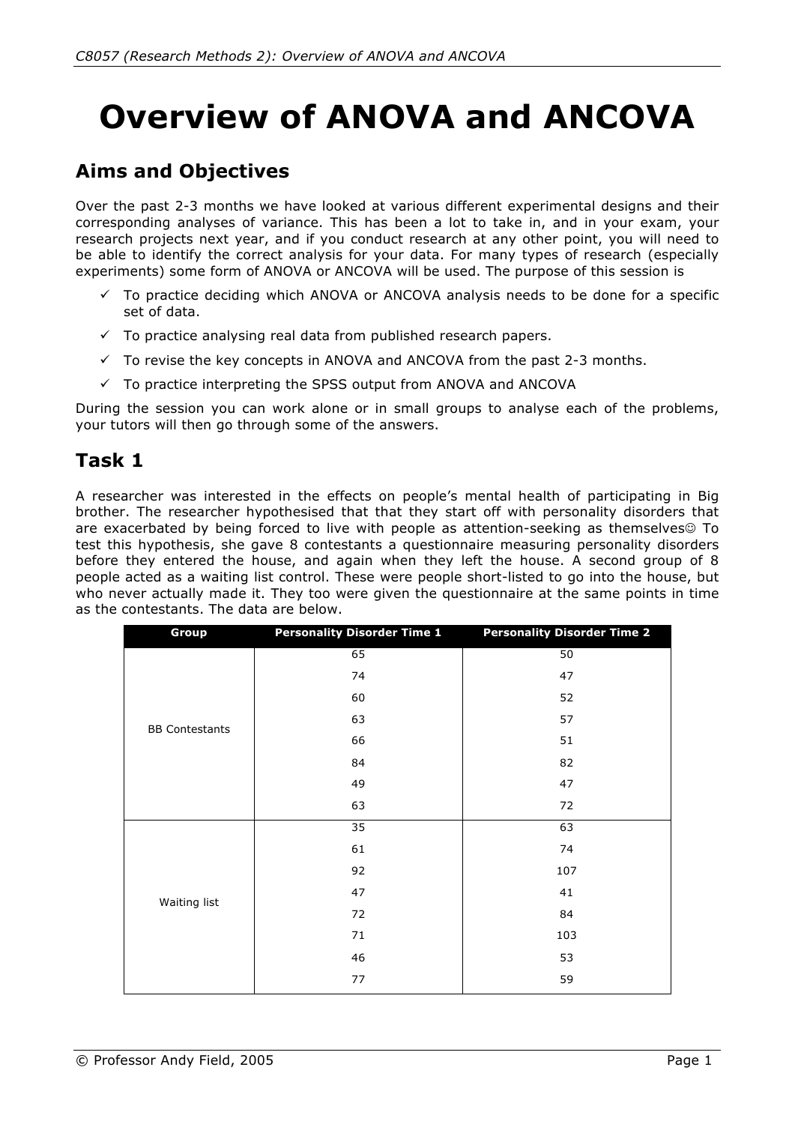# **Overview of ANOVA and ANCOVA**

# **Aims and Objectives**

Over the past 2-3 months we have looked at various different experimental designs and their corresponding analyses of variance. This has been a lot to take in, and in your exam, your research projects next year, and if you conduct research at any other point, you will need to be able to identify the correct analysis for your data. For many types of research (especially experiments) some form of ANOVA or ANCOVA will be used. The purpose of this session is

- $\checkmark$  To practice deciding which ANOVA or ANCOVA analysis needs to be done for a specific set of data.
- $\checkmark$  To practice analysing real data from published research papers.
- $\checkmark$  To revise the key concepts in ANOVA and ANCOVA from the past 2-3 months.
- $\checkmark$  To practice interpreting the SPSS output from ANOVA and ANCOVA

During the session you can work alone or in small groups to analyse each of the problems, your tutors will then go through some of the answers.

### **Task 1**

A researcher was interested in the effects on people's mental health of participating in Big brother. The researcher hypothesised that that they start off with personality disorders that are exacerbated by being forced to live with people as attention-seeking as themselves<sup>©</sup> To test this hypothesis, she gave 8 contestants a questionnaire measuring personality disorders before they entered the house, and again when they left the house. A second group of 8 people acted as a waiting list control. These were people short-listed to go into the house, but who never actually made it. They too were given the questionnaire at the same points in time as the contestants. The data are below.

| Group                 | <b>Personality Disorder Time 1</b> | <b>Personality Disorder Time 2</b> |  |
|-----------------------|------------------------------------|------------------------------------|--|
|                       | 65                                 | 50                                 |  |
|                       | 74                                 | 47                                 |  |
|                       | 60                                 | 52                                 |  |
| <b>BB Contestants</b> | 63                                 | 57                                 |  |
|                       | 66                                 | 51                                 |  |
|                       | 84                                 | 82                                 |  |
|                       | 49                                 | 47                                 |  |
|                       | 63                                 | 72                                 |  |
|                       | 35                                 | 63                                 |  |
|                       | 61                                 | 74                                 |  |
|                       | 92                                 | 107                                |  |
|                       | 47                                 | 41                                 |  |
| Waiting list          | 72                                 | 84                                 |  |
|                       | 71                                 | 103                                |  |
|                       | 46                                 | 53                                 |  |
|                       | 77                                 | 59                                 |  |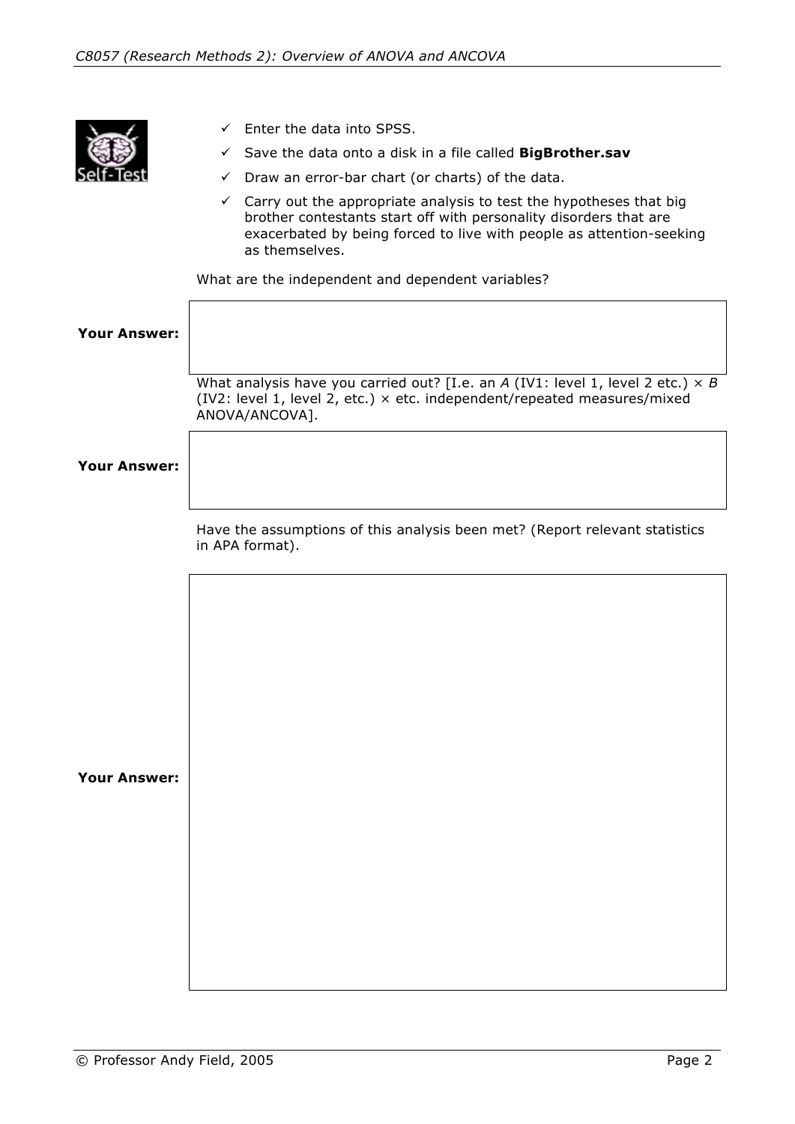

- $\checkmark$  Enter the data into SPSS.
- Save the data onto a disk in a file called **BigBrother.sav**
- $\checkmark$  Draw an error-bar chart (or charts) of the data.
- $\checkmark$  Carry out the appropriate analysis to test the hypotheses that big brother contestants start off with personality disorders that are exacerbated by being forced to live with people as attention-seeking as themselves.

What are the independent and dependent variables?

| <b>Your Answer:</b> |                                                                                                                                                                                      |
|---------------------|--------------------------------------------------------------------------------------------------------------------------------------------------------------------------------------|
|                     | What analysis have you carried out? [I.e. an A (IV1: level 1, level 2 etc.) $\times$ B<br>(IV2: level 1, level 2, etc.) × etc. independent/repeated measures/mixed<br>ANOVA/ANCOVA]. |
| <b>Your Answer:</b> |                                                                                                                                                                                      |
|                     | Have the assumptions of this analysis been met? (Report relevant statistics<br>in APA format).                                                                                       |
|                     |                                                                                                                                                                                      |
|                     |                                                                                                                                                                                      |
|                     |                                                                                                                                                                                      |
| <b>Your Answer:</b> |                                                                                                                                                                                      |
|                     |                                                                                                                                                                                      |
|                     |                                                                                                                                                                                      |
|                     |                                                                                                                                                                                      |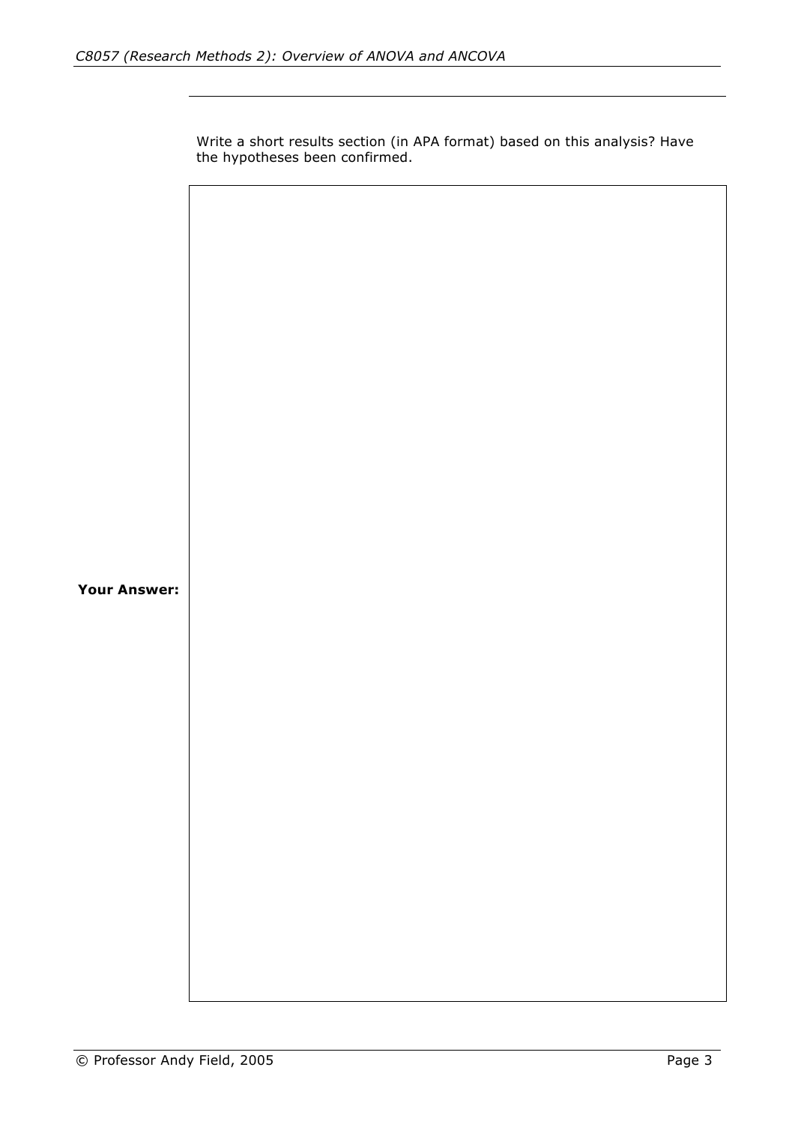Write a short results section (in APA format) based on this analysis? Have the hypotheses been confirmed. **Your Answer:**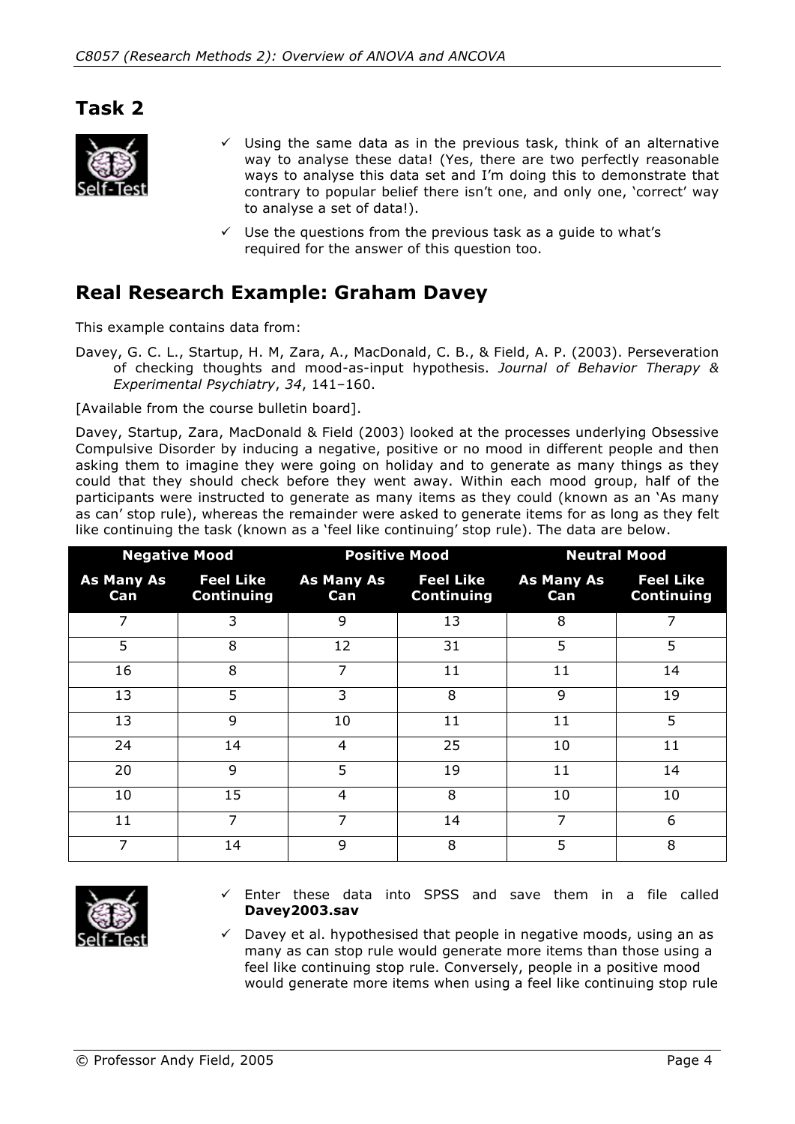#### **Task 2**



- $\checkmark$  Using the same data as in the previous task, think of an alternative way to analyse these data! (Yes, there are two perfectly reasonable ways to analyse this data set and I'm doing this to demonstrate that contrary to popular belief there isn't one, and only one, 'correct' way to analyse a set of data!).
- Use the questions from the previous task as a guide to what's required for the answer of this question too.

#### **Real Research Example: Graham Davey**

This example contains data from:

Davey, G. C. L., Startup, H. M, Zara, A., MacDonald, C. B., & Field, A. P. (2003). Perseveration of checking thoughts and mood-as-input hypothesis. *Journal of Behavior Therapy & Experimental Psychiatry*, *34*, 141–160.

[Available from the course bulletin board].

Davey, Startup, Zara, MacDonald & Field (2003) looked at the processes underlying Obsessive Compulsive Disorder by inducing a negative, positive or no mood in different people and then asking them to imagine they were going on holiday and to generate as many things as they could that they should check before they went away. Within each mood group, half of the participants were instructed to generate as many items as they could (known as an 'As many as can' stop rule), whereas the remainder were asked to generate items for as long as they felt like continuing the task (known as a 'feel like continuing' stop rule). The data are below.

| <b>Negative Mood</b>     |                                       |                          | <b>Positive Mood</b>                  | <b>Neutral Mood</b>      |                                       |  |
|--------------------------|---------------------------------------|--------------------------|---------------------------------------|--------------------------|---------------------------------------|--|
| <b>As Many As</b><br>Can | <b>Feel Like</b><br><b>Continuing</b> | <b>As Many As</b><br>Can | <b>Feel Like</b><br><b>Continuing</b> | <b>As Many As</b><br>Can | <b>Feel Like</b><br><b>Continuing</b> |  |
| 7                        | 3                                     | 9                        | 13                                    | 8                        | 7                                     |  |
| 5                        | 8                                     | 12                       | 31                                    | 5                        | 5                                     |  |
| 16                       | 8                                     | 7                        | 11                                    | 11                       | 14                                    |  |
| 13                       | 5                                     | 3                        | 8                                     | 9                        | 19                                    |  |
| 13                       | 9                                     | 10                       | 11                                    | 11                       | 5                                     |  |
| 24                       | 14                                    | 4                        | 25                                    | 10                       | 11                                    |  |
| 20                       | 9                                     | 5                        | 19                                    | 11                       | 14                                    |  |
| 10                       | 15                                    | 4                        | 8                                     | 10                       | 10                                    |  |
| 11                       | 7                                     | 7                        | 14                                    | 7                        | 6                                     |  |
| 7                        | 14                                    | 9                        | 8                                     | 5                        | 8                                     |  |



- $\checkmark$  Enter these data into SPSS and save them in a file called **Davey2003.sav**
- $\checkmark$  Davey et al. hypothesised that people in negative moods, using an as many as can stop rule would generate more items than those using a feel like continuing stop rule. Conversely, people in a positive mood would generate more items when using a feel like continuing stop rule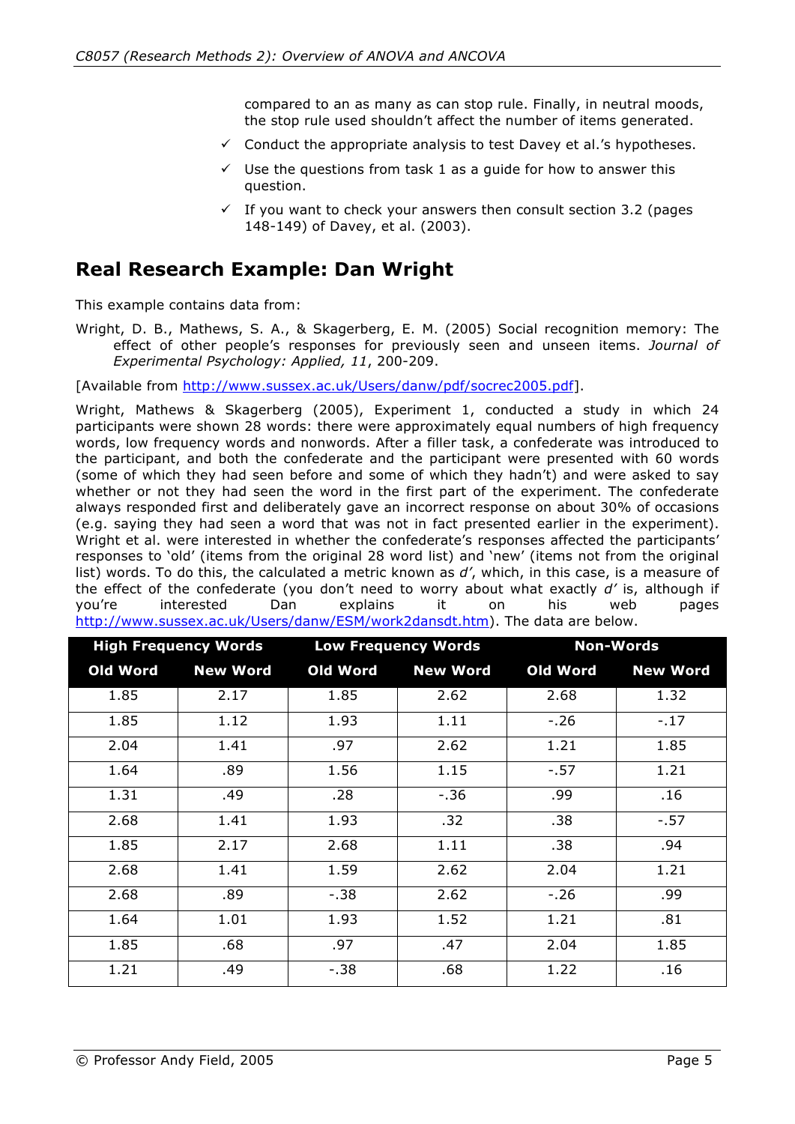compared to an as many as can stop rule. Finally, in neutral moods, the stop rule used shouldn't affect the number of items generated.

- $\checkmark$  Conduct the appropriate analysis to test Davey et al.'s hypotheses.
- $\checkmark$  Use the questions from task 1 as a quide for how to answer this question.
- $\checkmark$  If you want to check your answers then consult section 3.2 (pages 148-149) of Davey, et al. (2003).

#### **Real Research Example: Dan Wright**

This example contains data from:

Wright, D. B., Mathews, S. A., & Skagerberg, E. M. (2005) Social recognition memory: The effect of other people's responses for previously seen and unseen items. *Journal of Experimental Psychology: Applied, 11*, 200-209.

[Available from http://www.sussex.ac.uk/Users/danw/pdf/socrec2005.pdf].

Wright, Mathews & Skagerberg (2005), Experiment 1, conducted a study in which 24 participants were shown 28 words: there were approximately equal numbers of high frequency words, low frequency words and nonwords. After a filler task, a confederate was introduced to the participant, and both the confederate and the participant were presented with 60 words (some of which they had seen before and some of which they hadn't) and were asked to say whether or not they had seen the word in the first part of the experiment. The confederate always responded first and deliberately gave an incorrect response on about 30% of occasions (e.g. saying they had seen a word that was not in fact presented earlier in the experiment). Wright et al. were interested in whether the confederate's responses affected the participants' responses to 'old' (items from the original 28 word list) and 'new' (items not from the original list) words. To do this, the calculated a metric known as *d'*, which, in this case, is a measure of the effect of the confederate (you don't need to worry about what exactly *d'* is, although if you're interested Dan explains it on his web pages http://www.sussex.ac.uk/Users/danw/ESM/work2dansdt.htm). The data are below.

| <b>High Frequency Words</b> |                 |          | <b>Low Frequency Words</b> | <b>Non-Words</b> |                 |  |
|-----------------------------|-----------------|----------|----------------------------|------------------|-----------------|--|
| Old Word                    | <b>New Word</b> | Old Word | <b>New Word</b>            | Old Word         | <b>New Word</b> |  |
| 1.85                        | 2.17            | 1.85     | 2.62                       | 2.68             | 1.32            |  |
| 1.85                        | 1.12            | 1.93     | 1.11                       | $-.26$           | $-.17$          |  |
| 2.04                        | 1.41            | .97      | 2.62                       | 1.21             | 1.85            |  |
| 1.64                        | .89             | 1.56     | 1.15                       | $-.57$           | 1.21            |  |
| 1.31                        | .49             | .28      | $-0.36$                    | .99              | .16             |  |
| 2.68                        | 1.41            | 1.93     | .32                        | .38              | $-.57$          |  |
| 1.85                        | 2.17            | 2.68     | 1.11                       | .38              | .94             |  |
| 2.68                        | 1.41            | 1.59     | 2.62                       | 2.04             | 1.21            |  |
| 2.68                        | .89             | $-.38$   | 2.62                       | $-.26$           | .99             |  |
| 1.64                        | 1.01            | 1.93     | 1.52                       | 1.21             | .81             |  |
| 1.85                        | .68             | .97      | .47                        | 2.04             | 1.85            |  |
| 1.21                        | .49             | $-.38$   | .68                        | 1.22             | .16             |  |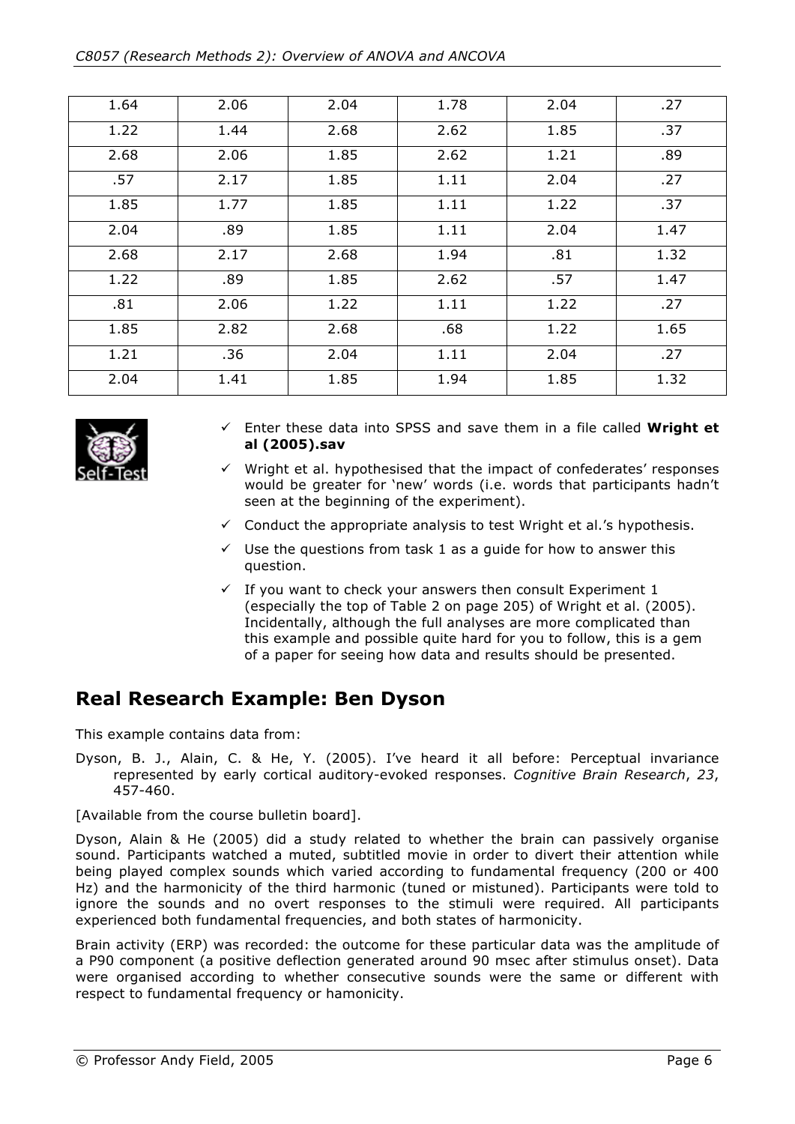| 1.64 | 2.06 | 2.04 | 1.78 | 2.04 | .27  |
|------|------|------|------|------|------|
| 1.22 | 1.44 | 2.68 | 2.62 | 1.85 | .37  |
| 2.68 | 2.06 | 1.85 | 2.62 | 1.21 | .89  |
| .57  | 2.17 | 1.85 | 1.11 | 2.04 | .27  |
| 1.85 | 1.77 | 1.85 | 1.11 | 1.22 | .37  |
| 2.04 | .89  | 1.85 | 1.11 | 2.04 | 1.47 |
| 2.68 | 2.17 | 2.68 | 1.94 | .81  | 1.32 |
| 1.22 | .89  | 1.85 | 2.62 | .57  | 1.47 |
| .81  | 2.06 | 1.22 | 1.11 | 1.22 | .27  |
| 1.85 | 2.82 | 2.68 | .68  | 1.22 | 1.65 |
| 1.21 | .36  | 2.04 | 1.11 | 2.04 | .27  |
| 2.04 | 1.41 | 1.85 | 1.94 | 1.85 | 1.32 |



- Enter these data into SPSS and save them in a file called **Wright et al (2005).sav**
- $\checkmark$  Wright et al. hypothesised that the impact of confederates' responses would be greater for 'new' words (i.e. words that participants hadn't seen at the beginning of the experiment).
- $\checkmark$  Conduct the appropriate analysis to test Wright et al.'s hypothesis.
- $\checkmark$  Use the questions from task 1 as a quide for how to answer this question.
- $\checkmark$  If you want to check your answers then consult Experiment 1 (especially the top of Table 2 on page 205) of Wright et al. (2005). Incidentally, although the full analyses are more complicated than this example and possible quite hard for you to follow, this is a gem of a paper for seeing how data and results should be presented.

# **Real Research Example: Ben Dyson**

This example contains data from:

Dyson, B. J., Alain, C. & He, Y. (2005). I've heard it all before: Perceptual invariance represented by early cortical auditory-evoked responses. *Cognitive Brain Research*, *23*, 457-460.

[Available from the course bulletin board].

Dyson, Alain & He (2005) did a study related to whether the brain can passively organise sound. Participants watched a muted, subtitled movie in order to divert their attention while being played complex sounds which varied according to fundamental frequency (200 or 400 Hz) and the harmonicity of the third harmonic (tuned or mistuned). Participants were told to ignore the sounds and no overt responses to the stimuli were required. All participants experienced both fundamental frequencies, and both states of harmonicity.

Brain activity (ERP) was recorded: the outcome for these particular data was the amplitude of a P90 component (a positive deflection generated around 90 msec after stimulus onset). Data were organised according to whether consecutive sounds were the same or different with respect to fundamental frequency or hamonicity.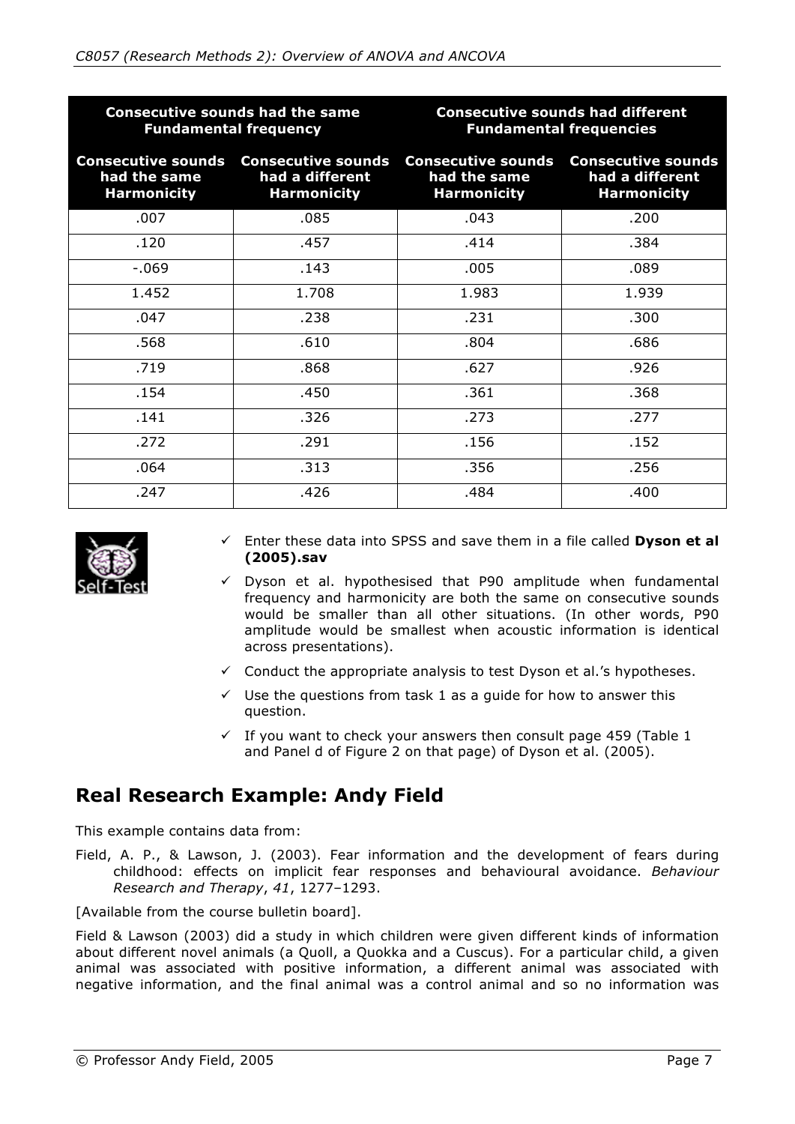|                                                                                                                                       | <b>Consecutive sounds had the same</b><br><b>Fundamental frequency</b> | <b>Consecutive sounds had different</b><br><b>Fundamental frequencies</b> |                                                                                       |  |
|---------------------------------------------------------------------------------------------------------------------------------------|------------------------------------------------------------------------|---------------------------------------------------------------------------|---------------------------------------------------------------------------------------|--|
| <b>Consecutive sounds</b><br><b>Consecutive sounds</b><br>had a different<br>had the same<br><b>Harmonicity</b><br><b>Harmonicity</b> |                                                                        | had the same<br><b>Harmonicity</b>                                        | <b>Consecutive sounds Consecutive sounds</b><br>had a different<br><b>Harmonicity</b> |  |
| .007                                                                                                                                  | .085                                                                   | .043                                                                      | .200                                                                                  |  |
| .120                                                                                                                                  | .457                                                                   | .414                                                                      | .384                                                                                  |  |
| $-069$                                                                                                                                | .143                                                                   | .005                                                                      | .089                                                                                  |  |
| 1.452                                                                                                                                 | 1.708                                                                  | 1.983                                                                     | 1.939                                                                                 |  |
| .047                                                                                                                                  | .238                                                                   | .231                                                                      | .300                                                                                  |  |
| .568                                                                                                                                  | .610                                                                   | .804                                                                      | .686                                                                                  |  |
| .719                                                                                                                                  | .868                                                                   | .627                                                                      | .926                                                                                  |  |
| .154                                                                                                                                  | .450                                                                   | .361                                                                      | .368                                                                                  |  |
| .141                                                                                                                                  | .326                                                                   | .273                                                                      | .277                                                                                  |  |
| .272                                                                                                                                  | .291                                                                   | .156                                                                      | .152                                                                                  |  |
| .064                                                                                                                                  | .313                                                                   | .356                                                                      | .256                                                                                  |  |
| .247                                                                                                                                  | .426                                                                   | .484                                                                      | .400                                                                                  |  |



- Enter these data into SPSS and save them in a file called **Dyson et al (2005).sav**
- $\checkmark$  Dyson et al. hypothesised that P90 amplitude when fundamental frequency and harmonicity are both the same on consecutive sounds would be smaller than all other situations. (In other words, P90 amplitude would be smallest when acoustic information is identical across presentations).
- $\checkmark$  Conduct the appropriate analysis to test Dyson et al.'s hypotheses.
- $\checkmark$  Use the questions from task 1 as a quide for how to answer this question.
- $\checkmark$  If you want to check your answers then consult page 459 (Table 1 and Panel d of Figure 2 on that page) of Dyson et al. (2005).

# **Real Research Example: Andy Field**

This example contains data from:

Field, A. P., & Lawson, J. (2003). Fear information and the development of fears during childhood: effects on implicit fear responses and behavioural avoidance. *Behaviour Research and Therapy*, *41*, 1277–1293.

[Available from the course bulletin board].

Field & Lawson (2003) did a study in which children were given different kinds of information about different novel animals (a Quoll, a Quokka and a Cuscus). For a particular child, a given animal was associated with positive information, a different animal was associated with negative information, and the final animal was a control animal and so no information was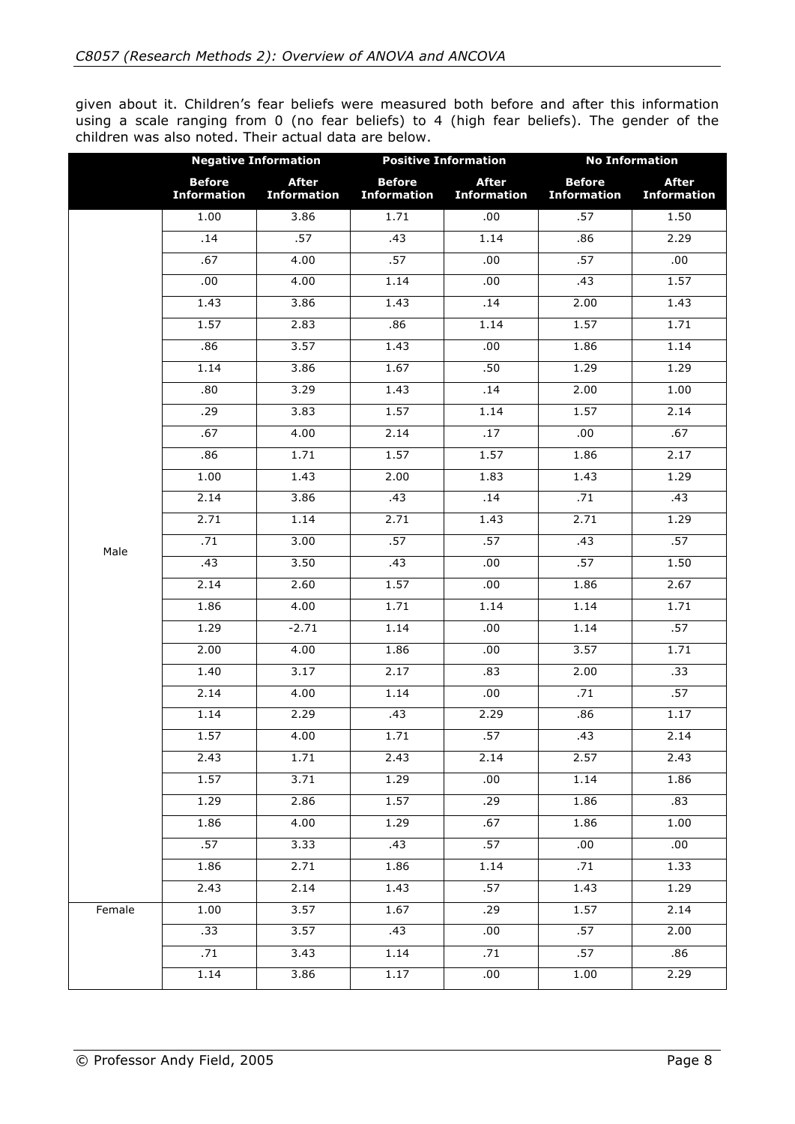given about it. Children's fear beliefs were measured both before and after this information using a scale ranging from 0 (no fear beliefs) to 4 (high fear beliefs). The gender of the children was also noted. Their actual data are below.

|        | <b>Negative Information</b>         |                                    |                                     | <b>Positive Information</b>        | <b>No Information</b>               |                                    |
|--------|-------------------------------------|------------------------------------|-------------------------------------|------------------------------------|-------------------------------------|------------------------------------|
|        | <b>Before</b><br><b>Information</b> | <b>After</b><br><b>Information</b> | <b>Before</b><br><b>Information</b> | <b>After</b><br><b>Information</b> | <b>Before</b><br><b>Information</b> | <b>After</b><br><b>Information</b> |
|        | 1.00                                | 3.86                               | 1.71                                | .00                                | .57                                 | 1.50                               |
|        | .14                                 | .57                                | .43                                 | 1.14                               | .86                                 | 2.29                               |
|        | .67                                 | 4.00                               | .57                                 | .00                                | .57                                 | .00                                |
|        | .00.                                | 4.00                               | 1.14                                | .00.                               | .43                                 | 1.57                               |
|        | 1.43                                | 3.86                               | 1.43                                | .14                                | 2.00                                | 1.43                               |
|        | 1.57                                | 2.83                               | .86                                 | 1.14                               | 1.57                                | 1.71                               |
|        | .86                                 | 3.57                               | 1.43                                | .00                                | 1.86                                | 1.14                               |
|        | 1.14                                | 3.86                               | 1.67                                | .50                                | 1.29                                | 1.29                               |
|        | .80                                 | 3.29                               | 1.43                                | .14                                | 2.00                                | 1.00                               |
|        | .29                                 | 3.83                               | 1.57                                | 1.14                               | 1.57                                | 2.14                               |
|        | .67                                 | 4.00                               | 2.14                                | .17                                | .00.                                | .67                                |
|        | .86                                 | 1.71                               | 1.57                                | 1.57                               | 1.86                                | 2.17                               |
|        | 1.00                                | 1.43                               | 2.00                                | 1.83                               | 1.43                                | 1.29                               |
|        | 2.14                                | 3.86                               | .43                                 | .14                                | .71                                 | .43                                |
|        | 2.71                                | 1.14                               | 2.71                                | 1.43                               | 2.71                                | 1.29                               |
| Male   | .71                                 | 3.00                               | .57                                 | .57                                | .43                                 | .57                                |
|        | .43                                 | 3.50                               | .43                                 | .00                                | .57                                 | 1.50                               |
|        | 2.14                                | 2.60                               | 1.57                                | .00.                               | 1.86                                | 2.67                               |
|        | 1.86                                | 4.00                               | 1.71                                | 1.14                               | 1.14                                | 1.71                               |
|        | 1.29                                | $-2.71$                            | 1.14                                | .00                                | 1.14                                | .57                                |
|        | 2.00                                | 4.00                               | 1.86                                | .00                                | 3.57                                | 1.71                               |
|        | 1.40                                | 3.17                               | 2.17                                | .83                                | 2.00                                | .33                                |
|        | 2.14                                | 4.00                               | 1.14                                | .00                                | .71                                 | .57                                |
|        | 1.14                                | 2.29                               | .43                                 | 2.29                               | .86                                 | 1.17                               |
|        | 1.57                                | 4.00                               | 1.71                                | .57                                | .43                                 | 2.14                               |
|        | 2.43                                | 1.71                               | 2.43                                | 2.14                               | 2.57                                | 2.43                               |
|        | 1.57                                | 3.71                               | 1.29                                | .00.                               | 1.14                                | 1.86                               |
|        | 1.29                                | 2.86                               | 1.57                                | .29                                | 1.86                                | .83                                |
|        | 1.86                                | 4.00                               | 1.29                                | .67                                | 1.86                                | 1.00                               |
|        | .57                                 | 3.33                               | .43                                 | .57                                | .00.                                | .00.                               |
|        | 1.86                                | 2.71                               | 1.86                                | 1.14                               | .71                                 | 1.33                               |
|        | 2.43                                | 2.14                               | 1.43                                | .57                                | 1.43                                | 1.29                               |
| Female | 1.00                                | 3.57                               | 1.67                                | .29                                | 1.57                                | 2.14                               |
|        | .33                                 | 3.57                               | .43                                 | .00.                               | .57                                 | 2.00                               |
|        | .71                                 | 3.43                               | 1.14                                | .71                                | .57                                 | .86                                |
|        | 1.14                                | 3.86                               | 1.17                                | .00.                               | 1.00                                | 2.29                               |